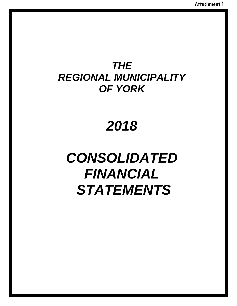# *2018*

# *CONSOLIDATED FINANCIAL STATEMENTS*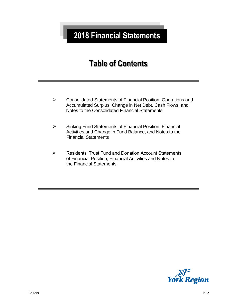# **2018 Financial Statements**

# **Table of Contents**

- Consolidated Statements of Financial Position, Operations and Accumulated Surplus, Change in Net Debt, Cash Flows, and Notes to the Consolidated Financial Statements
- $\triangleright$  Sinking Fund Statements of Financial Position, Financial Activities and Change in Fund Balance, and Notes to the Financial Statements
- Residents' Trust Fund and Donation Account Statements of Financial Position, Financial Activities and Notes to the Financial Statements

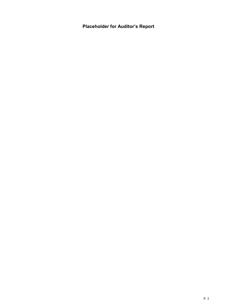**Placeholder for Auditor's Report**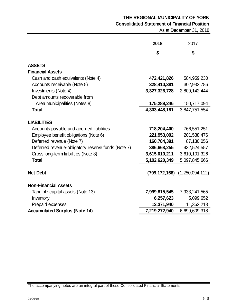# **THE REGIONAL MUNICIPALITY OF YORK Consolidated Statement of Financial Position**

As at December 31, 2018

|                                                                | 2018          | 2017                                   |
|----------------------------------------------------------------|---------------|----------------------------------------|
|                                                                | \$            | \$                                     |
| <b>ASSETS</b>                                                  |               |                                        |
| <b>Financial Assets</b>                                        |               |                                        |
| Cash and cash equivalents (Note 4)                             | 472,421,826   | 584,959,230                            |
| Accounts receivable (Note 5)                                   | 328,410,381   | 302,932,786                            |
| Investments (Note 4)                                           | 3,327,326,728 | 2,809,142,444                          |
| Debt amounts recoverable from                                  |               |                                        |
| Area municipalities (Notes 8)                                  | 175,289,246   | 150,717,094                            |
| <b>Total</b>                                                   | 4,303,448,181 | 3,847,751,554                          |
| <b>LIABILITIES</b><br>Accounts payable and accrued liabilities | 718,204,400   | 766,551,251                            |
| Employee benefit obligations (Note 6)                          | 221,953,092   | 201,538,476                            |
| Deferred revenue (Note 7)                                      | 160,784,391   | 87,130,056                             |
| Deferred revenue-obligatory reserve funds (Note 7)             | 386,668,255   | 432,524,557                            |
| Gross long-term liabilities (Note 8)                           | 3,615,010,211 | 3,610,101,326                          |
| <b>Total</b>                                                   | 5,102,620,349 | 5,097,845,666                          |
| <b>Net Debt</b>                                                |               | $(799, 172, 168)$ $(1, 250, 094, 112)$ |
| <b>Non-Financial Assets</b>                                    |               |                                        |
| Tangible capital assets (Note 13)                              | 7,999,815,545 | 7,933,241,565                          |
| Inventory                                                      | 6,257,623     | 5,099,652                              |
| Prepaid expenses                                               | 12,371,940    | 11,362,213                             |
| <b>Accumulated Surplus (Note 14)</b>                           | 7,219,272,940 | 6,699,609,318                          |

The accompanying notes are an integral part of these Consolidated Financial Statements.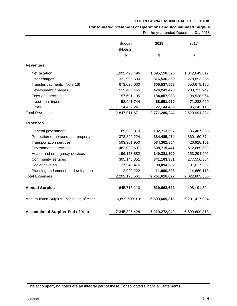### **Consolidated Statement of Operations and Accumulated Surplus**

For the year ended December 31, 2018

|                                         | <b>Budget</b><br>(Note 2) | 2018          | 2017          |
|-----------------------------------------|---------------------------|---------------|---------------|
|                                         | \$                        | \$            | \$            |
| <b>Revenues</b>                         |                           |               |               |
| Net taxation                            | 1,092,496,496             | 1,095,110,525 | 1,042,649,817 |
| User charges                            | 331,996,530               | 316,536,359   | 278,893,236   |
| Transfer payments (Note 16)             | 673,020,000               | 605,537,568   | 550,678,180   |
| Development charges                     | 519,403,465               | 474,241,470   | 283,713,949   |
| Fees and services                       | 157,601,195               | 184,057,933   | 198,528,964   |
| Investment income                       | 58,941,744                | 68,651,950    | 71,288,620    |
| Other                                   | 14,452,241                | 27, 144, 439  | 95,242,118    |
| <b>Total Revenues</b>                   | 2,847,911,671             | 2,771,280,244 | 2,520,994,884 |
| <b>Expenses</b>                         |                           |               |               |
| General government                      | 185,582,819               | 132,713,667   | 186,487,358   |
| Protection to persons and property      | 378,822,224               | 384,485,474   | 360, 160, 874 |
| Transportation services                 | 503,901,950               | 534, 361, 854 | 426,928,151   |
| <b>Environmental services</b>           | 482,020,637               | 608,715,441   | 512,689,529   |
| Health and emergency services           | 196, 173, 882             | 149,321,300   | 153,294,902   |
| Community services                      | 305, 145, 351             | 341, 163, 381 | 277,556,364   |
| Social housing                          | 137,549,476               | 88,894,682    | 91,017,269    |
| Planning and economic development       | 12,999,222                | 11,960,823    | 14,669,113    |
| <b>Total Expenses</b>                   | 2,202,195,561             | 2,251,616,622 | 2,022,803,560 |
| <b>Annual Surplus</b>                   | 645,716,110               | 519,663,622   | 498, 191, 324 |
| Accumulated Surplus, Beginning of Year  | 6,699,609,318             | 6,699,609,318 | 6,201,417,994 |
| <b>Accumulated Surplus, End of Year</b> | 7,345,325,428             | 7,219,272,940 | 6,699,609,318 |

The accompanying notes are an integral part of these Consolidated Financial Statements.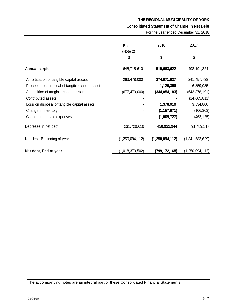**Consolidated Statement of Change in Net Debt**

|  |  | For the year ended December 31, 2018 |  |
|--|--|--------------------------------------|--|
|--|--|--------------------------------------|--|

| <b>Budget</b>      | 2018               | 2017               |
|--------------------|--------------------|--------------------|
| \$                 | \$                 | \$                 |
| 645,715,610        | 519,663,622        | 498, 191, 324      |
| 263,478,000        | 274,971,937        | 241,457,738        |
|                    | 1,129,356          | 6,859,085          |
| (677, 473, 000)    | (344, 054, 183)    | (643, 378, 191)    |
|                    |                    | (14,605,811)       |
|                    | 1,378,910          | 3,534,800          |
|                    | (1, 157, 971)      | (106, 303)         |
|                    | (1,009,727)        | (463, 125)         |
| 231,720,610        | 450,921,944        | 91,489,517         |
| (1, 250, 094, 112) | (1, 250, 094, 112) | (1,341,583,629)    |
| (1,018,373,502)    | (799, 172, 168)    | (1, 250, 094, 112) |
|                    |                    |                    |
|                    | (Note 2)           |                    |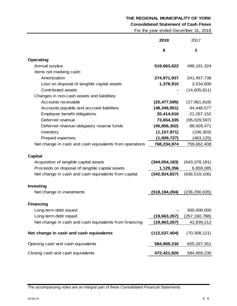**Consolidated Statement of Cash Flows**

For the year ended December 31, 2018

|                                                         | 2018            | 2017            |
|---------------------------------------------------------|-----------------|-----------------|
|                                                         | \$              | \$              |
| <b>Operating</b>                                        |                 |                 |
| Annual surplus                                          | 519,663,622     | 498, 191, 324   |
| Items not involving cash:                               |                 |                 |
| Amortization                                            | 274,971,937     | 241,457,738     |
| Loss on disposal of tangible capital assets             | 1,378,910       | 3,534,800       |
| Contributed assets                                      |                 | (14,605,811)    |
| Changes in non-cash assets and liabilities:             |                 |                 |
| Accounts receivable                                     | (25, 477, 595)  | (27,961,818)    |
| Accounts payable and accrued liabilities                | (48, 346, 851)  | 44,448,577      |
| Employee benefit obligations                            | 20,414,616      | 21,267,152      |
| Deferred revenue                                        | 73,654,335      | (95,029,597)    |
| Deferred revenue-obligatory reserve funds               | (45, 856, 302)  | 88,929,471      |
| Inventory                                               | (1, 157, 971)   | (106, 303)      |
| Prepaid expenses                                        | (1,009,727)     | (463, 125)      |
| Net change in cash and cash equivalents from operations | 768,234,974     | 759,662,408     |
| <b>Capital</b>                                          |                 |                 |
| Acquisition of tangible capital assets                  | (344, 054, 183) | (643, 378, 191) |
| Proceeds on disposal of tangible capital assets         | 1,129,356       | 6,859,085       |
| Net change in cash and cash equivalents from capital    | (342, 924, 827) | (636, 519, 106) |
|                                                         |                 |                 |
| Investing                                               |                 |                 |
| Net change in investments                               | (518,184,284)   | (236, 290, 635) |
| <b>Financing</b>                                        |                 |                 |
| Long-term debt issued                                   |                 | 300,000,000     |
| Long-term debt repaid                                   | (19,663,267)    | (257, 160, 788) |
| Net change in cash and cash equivalents from financing  | (19,663,267)    | 42,839,212      |
|                                                         |                 |                 |
| Net change in cash and cash equivalents                 | (112, 537, 404) | (70, 308, 121)  |
| Opening cash and cash equivalents                       | 584,959,230     | 655,267,351     |
| Closing cash and cash equivalents                       | 472,421,826     | 584,959,230     |

The accompanying notes are an integral part of these Consolidated Financial Statements.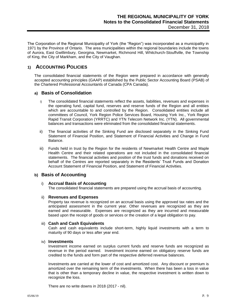The Corporation of the Regional Municipality of York (the "Region") was incorporated as a municipality in 1971 by the Province of Ontario. The area municipalities within the regional boundaries include the towns of Aurora, East Gwillimbury, Georgina, Newmarket, Richmond Hill, Whitchurch-Stouffville, the Township of King, the City of Markham, and the City of Vaughan.

# **1) ACCOUNTING POLICIES**

The consolidated financial statements of the Region were prepared in accordance with generally accepted accounting principles (GAAP) established by the Public Sector Accounting Board (PSAB) of the Chartered Professional Accountants of Canada (CPA Canada).

#### **a) Basis of Consolidation**

- i) The consolidated financial statements reflect the assets, liabilities, revenues and expenses in the operating fund, capital fund, reserves and reserve funds of the Region and all entities which are accountable to and controlled by the Region. Consolidated entities include all committees of Council, York Region Police Services Board, Housing York Inc., York Region Rapid Transit Corporation (YRRTC) and YTN Telecom Network Inc. (YTN). All governmental balances and transactions were eliminated from the consolidated financial statements.
- ii) The financial activities of the Sinking Fund are disclosed separately in the Sinking Fund Statement of Financial Position, and Statement of Financial Activities and Change in Fund Balance.
- iii) Funds held in trust by the Region for the residents of Newmarket Health Centre and Maple Health Centre and their related operations are not included in the consolidated financial statements. The financial activities and position of the trust funds and donations received on behalf of the Centres are reported separately in the Residents' Trust Funds and Donation Account Statement of Financial Position, and Statement of Financial Activities.

#### **b) Basis of Accounting**

#### i) **Accrual Basis of Accounting**

The consolidated financial statements are prepared using the accrual basis of accounting.

#### ii) **Revenues and Expenses**

Property tax revenue is recognized on an accrual basis using the approved tax rates and the anticipated assessment in the current year. Other revenues are recognized as they are earned and measurable. Expenses are recognized as they are incurred and measurable based upon the receipt of goods or services or the creation of a legal obligation to pay.

#### iii) **Cash and Cash Equivalents**

Cash and cash equivalents include short-term, highly liquid investments with a term to maturity of 90 days or less after year end.

#### iv) **Investments**

Investment income earned on surplus current funds and reserve funds are recognized as revenue in the period earned. Investment income earned on obligatory reserve funds are credited to the funds and form part of the respective deferred revenue balances.

Investments are carried at the lower of cost and amortized cost. Any discount or premium is amortized over the remaining term of the investments. When there has been a loss in value that is other than a temporary decline in value, the respective investment is written down to recognize the loss.

There are no write downs in 2018 (2017 - nil).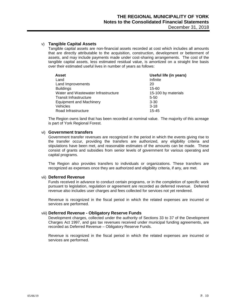#### v) **Tangible Capital Assets**

Tangible capital assets are non-financial assets recorded at cost which includes all amounts that are directly attributable to the acquisition, construction, development or betterment of assets, and may include payments made under cost-sharing arrangements. The cost of the tangible capital assets, less estimated residual value, is amortized on a straight line basis over their estimated useful lives in number of years as follows:

| <b>Asset</b>                        | Useful life (in years) |
|-------------------------------------|------------------------|
| Land                                | Infinite               |
| Land Improvements                   | 20                     |
| <b>Buildings</b>                    | $15 - 60$              |
| Water and Wastewater Infrastructure | 15-100 by materials    |
| <b>Transit Infrastructure</b>       | $5 - 50$               |
| <b>Equipment and Machinery</b>      | $3 - 30$               |
| Vehicles                            | $3 - 18$               |
| Road Infrastructure                 | $15 - 45$              |

The Region owns land that has been recorded at nominal value. The majority of this acreage is part of York Regional Forest.

#### vi) **Government transfers**

Government transfer revenues are recognized in the period in which the events giving rise to the transfer occur, providing the transfers are authorized, any eligibility criteria and stipulations have been met, and reasonable estimates of the amounts can be made. These consist of grants and subsidies from senior levels of government for various operating and capital programs.

The Region also provides transfers to individuals or organizations. These transfers are recognized as expenses once they are authorized and eligibility criteria, if any, are met.

#### vii) **Deferred Revenue**

Funds received in advance to conduct certain programs, or in the completion of specific work pursuant to legislation, regulation or agreement are recorded as deferred revenue. Deferred revenue also includes user charges and fees collected for services not yet rendered.

Revenue is recognized in the fiscal period in which the related expenses are incurred or services are performed.

#### viii) **Deferred Revenue - Obligatory Reserve Funds**

Development charges, collected under the authority of Sections 33 to 37 of the Development Charges Act 1997, and gas tax revenues received under municipal funding agreements, are recorded as Deferred Revenue – Obligatory Reserve Funds.

Revenue is recognized in the fiscal period in which the related expenses are incurred or services are performed.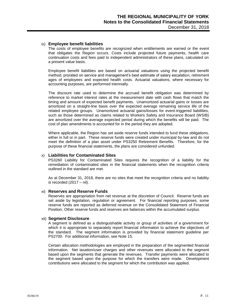#### ix) **Employee benefit liabilities**

The costs of employee benefits are recognized when entitlements are earned or the event that obligates the Region occurs. Costs include projected future payments, health care continuation costs and fees paid to independent administrators of these plans, calculated on a present value basis.

Employee benefit liabilities are based on actuarial valuations using the projected benefit method, prorated on service and management's best estimate of salary escalation, retirement ages of employees and expected health costs. Actuarial valuations, where necessary for accounting purposes, are performed triennially.

The discount rate used to determine the accrued benefit obligation was determined by reference to market interest rates at the measurement date with cash flows that match the timing and amount of expected benefit payments. Unamortized actuarial gains or losses are amortized on a straight-line basis over the expected average remaining service life of the related employee groups. Unamortized actuarial gains/losses for event-triggered liabilities, such as those determined as claims related to Workers Safety and Insurance Board (WSIB) are amortized over the average expected period during which the benefits will be paid. The cost of plan amendments is accounted for in the period they are adopted.

Where applicable, the Region has set aside reserve funds intended to fund these obligations, either in full or in part. These reserve funds were created under municipal by-law and do not meet the definition of a plan asset under PS3250 Retirement Benefits. Therefore, for the purpose of these financial statements, the plans are considered unfunded.

#### x) **Liabilities for Contaminated Sites**

PS3260 Liability for Contaminated Sites requires the recognition of a liability for the remediation of contaminated sites in the financial statements when the recognition criteria outlined in the standard are met.

As at December 31, 2018, there are no sites that meet the recognition criteria and no liability is recorded  $(2017 - \text{nil})$ .

#### xi) **Reserves and Reserve Funds**

Reserves are appropriation from net revenue at the discretion of Council. Reserve funds are set aside by legislation, regulation or agreement. For financial reporting purposes, some reserve funds are reported as deferred revenue on the Consolidated Statement of Financial Position. Other reserve funds and reserves are balances within the accumulated surplus.

#### xii) **Segment Disclosure**

A segment is defined as a distinguishable activity or group of activities of a government for which it is appropriate to separately report financial information to achieve the objectives of the standard. The segment information is provided by financial statement guideline per PS2700. For additional information, see Note 15.

Certain allocation methodologies are employed in the preparation of the segmented financial information. Net taxation/user charges and other revenues were allocated to the segment based upon the segments that generate the revenues. Transfer payments were allocated to the segment based upon the purpose for which the transfers were made. Development contributions were allocated to the segment for which the contribution was applied.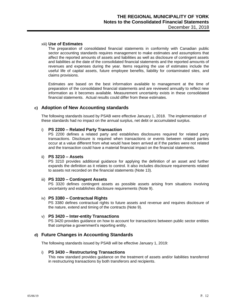#### xiii) **Use of Estimates**

The preparation of consolidated financial statements in conformity with Canadian public sector accounting standards requires management to make estimates and assumptions that affect the reported amounts of assets and liabilities as well as disclosure of contingent assets and liabilities at the date of the consolidated financial statements and the reported amounts of revenues and expenses during the year. Items requiring the use of estimates include the useful life of capital assets, future employee benefits, liability for contaminated sites, and claims provisions.

Estimates are based on the best information available to management at the time of preparation of the consolidated financial statements and are reviewed annually to reflect new information as it becomes available. Measurement uncertainty exists in these consolidated financial statements. Actual results could differ from these estimates.

#### **c) Adoption of New Accounting standards**

The following standards issued by PSAB were effective January 1, 2018. The implementation of these standards had no impact on the annual surplus, net debt or accumulated surplus.

#### i) **PS 2200 – Related Party Transaction**

PS 2200 defines a related party and establishes disclosures required for related party transactions. Disclosure is required when transactions or events between related parties occur at a value different from what would have been arrived at if the parties were not related and the transaction could have a material financial impact on the financial statements.

#### ii) **PS 3210 – Assets**

PS 3210 provides additional guidance for applying the definition of an asset and further expands the definition as it relates to control. It also includes disclosure requirements related to assets not recorded on the financial statements (Note 13).

#### iii) **PS 3320 – Contingent Assets**

PS 3320 defines contingent assets as possible assets arising from situations involving uncertainty and establishes disclosure requirements (Note 9).

#### iv) **PS 3380 – Contractual Rights**

PS 3380 defines contractual rights to future assets and revenue and requires disclosure of the nature, extend and timing of the contracts (Note 9).

#### v) **PS 3420 – Inter-entity Transactions**

PS 3420 provides guidance on how to account for transactions between public sector entities that comprise a government's reporting entity.

#### **d) Future Changes in Accounting Standards**

The following standards issued by PSAB will be effective January 1, 2019:

#### i) **PS 3430 – Restructuring Transactions**

This new standard provides guidance on the treatment of assets and/or liabilities transferred in restructuring transactions by both transferors and recipients.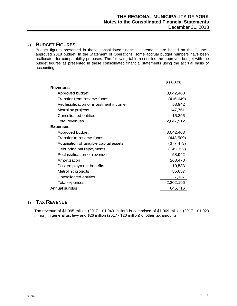## **2) BUDGET FIGURES**

Budget figures presented in these consolidated financial statements are based on the Councilapproved 2018 budget. In the Statement of Operations, some accrual budget numbers have been reallocated for comparability purposes. The following table reconciles the approved budget with the budget figures as presented in these consolidated financial statements using the accrual basis of accounting.

|                                        | \$ (000s)  |
|----------------------------------------|------------|
| <b>Revenues</b>                        |            |
| Approved budget                        | 3,042,463  |
| Transfer from reserve funds            | (416, 649) |
| Reclassification of investment income  | 58,942     |
| Metrolinx projects                     | 147,761    |
| Consolidated entities                  | 15,395     |
| Total revenues                         | 2,847,912  |
| <b>Expenses</b>                        |            |
| Approved budget                        | 3,042,463  |
| Transfer to reserve funds              | (443, 509) |
| Acquisition of tangible capital assets | (677, 473) |
| Debt principal repayments              | (145, 032) |
| Reclassification of revenue            | 58,942     |
| Amortization                           | 263,478    |
| Post employment benefits               | 10,533     |
| Metrolinx projects                     | 85,657     |
| Consolidated entities                  | 7,137      |
| Total expenses                         | 2,202,196  |
| Annual surplus                         | 645,716    |
|                                        |            |

# **3) TAX REVENUE**

Tax revenue of \$1,095 million (2017 - \$1,043 million) is comprised of \$1,069 million (2017 - \$1,023 million) in general tax levy and \$26 million (2017 - \$20 million) of other tax amounts.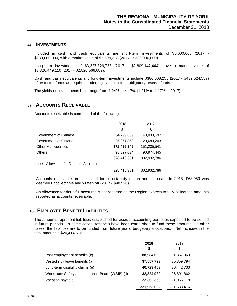#### **4) INVESTMENTS**

Included in cash and cash equivalents are short-term investments of \$5,600,000 (2017 - \$230,000,000) with a market value of \$5,599,328 (2017 - \$230,000,000).

Long-term investments of \$3,327,326,728 (2017 - \$2,809,142,444) have a market value of \$3,326,449,110 (2017 - \$2,820,566,682).

Cash and cash equivalents and long-term investments include \$386,668,255 (2017 - \$432,524,557) of restricted funds as required under legislation to fund obligatory reserve funds.

The yields on investments held range from 1.24% to 4.17% (1.21% to 4.17% in 2017).

### **5) ACCOUNTS RECEIVABLE**

Accounts receivable is comprised of the following:

|                                       | 2018        | 2017        |
|---------------------------------------|-------------|-------------|
|                                       | \$          | \$          |
| Government of Canada                  | 34,299,039  | 40,033,597  |
| Government of Ontario                 | 25,857,359  | 20,689,203  |
| <b>Other Municipalities</b>           | 172,426,349 | 151,235,541 |
| <b>Others</b>                         | 95,827,634  | 90,974,445  |
|                                       | 328,410,381 | 302,932,786 |
| Less: Allowance for Doubtful Accounts |             |             |
|                                       | 328,410,381 | 302,932,786 |

Accounts receivable are assessed for collectability on an annual basis. In 2018, \$68,950 was deemed uncollectable and written off (2017 - \$98,520).

An allowance for doubtful accounts is not reported as the Region expects to fully collect the amounts reported as accounts receivable.

### **6) EMPLOYEE BENEFIT LIABILITIES**

The amounts represent liabilities established for accrual accounting purposes expected to be settled in future periods. In some cases, reserves have been established to fund these amounts. In other cases, the liabilities are to be funded from future years' budgetary allocations. Net increase in the total amount is \$20,414,616.

|                                                 | 2018        | 2017        |
|-------------------------------------------------|-------------|-------------|
|                                                 | S           | S           |
| Post employment benefits (c)                    | 88,984,669  | 81,367,969  |
| Vested sick leave benefits (a)                  | 37,557,723  | 35,859,794  |
| Long-term disability claims (e)                 | 40,723,403  | 36,442,733  |
| Workplace Safety and Insurance Board (WSIB) (d) | 32,324,939  | 26,801,862  |
| Vacation payable                                | 22,362,358  | 21,066,118  |
|                                                 | 221,953,092 | 201,538,476 |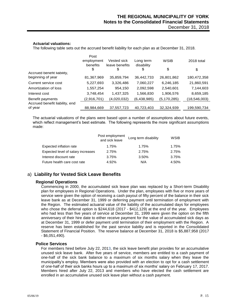#### **Actuarial valuations:**

The following table sets out the accrued benefit liability for each plan as at December 31, 2018.

|                                | Post                   |                               |                         |               |              |
|--------------------------------|------------------------|-------------------------------|-------------------------|---------------|--------------|
|                                | employment<br>benefits | Vested sick<br>leave benefits | Long term<br>disability | <b>WSIB</b>   | 2018 total   |
|                                | \$                     | \$                            | \$                      | \$            | \$           |
| Accrued benefit liability,     |                        |                               |                         |               |              |
| beginning of year              | 81,367,969             | 35,859,794                    | 36,442,733              | 26,801,862    | 180,472,358  |
| Current service cost           | 5,227,693              | 3,326,486                     | 7,060,227               | 6,246,185     | 21,860,591   |
| Amortization of loss           | 1,557,254              | 954,150                       | 2,092,598               | 2,540,601     | 7,144,603    |
| Interest cost                  | 3,748,454              | 1,437,325                     | 1,566,830               | 1,906,576     | 8,659,185    |
| Benefit payments               | (2,916,701)            | (4,020,032)                   | (6,438,985)             | (5, 170, 285) | (18,546,003) |
| Accrued benefit liability, end |                        |                               |                         |               |              |
| of year                        | 88,984,669             | 37,557,723                    | 40,723,403              | 32,324,939    | 199,590,734  |

The actuarial valuations of the plans were based upon a number of assumptions about future events, which reflect management's best estimate. The following represents the more significant assumptions made:

|                                    | Post employment<br>and sick leave | Long term disability | WSIB  |
|------------------------------------|-----------------------------------|----------------------|-------|
| Expected inflation rate            | 1.75%                             | 1.75%                | 1.75% |
| Expected level of salary increases | 2.75%                             | 2.75%                | 2.75% |
| Interest discount rate             | 3.75%                             | 3.50%                | 3.75% |
| Future health care cost rate       | 4.92%                             | N/A                  | 4.50% |

### a) **Liability for Vested Sick Leave Benefits**

#### **Regional Operations**

Commencing in 2000, the accumulated sick leave plan was replaced by a Short-term Disability plan for employees in Regional Operations. Under the plan, employees with five or more years of service were given the option of receiving a cash payout of fifty percent of the balance in their sick leave bank as at December 31, 1999 or deferring payment until termination of employment with the Region. The estimated actuarial value of the liability of the accumulated days for employees who chose the deferral option is \$244,618 (2017 - \$412,129) at the end of the year. Employees who had less than five years of service at December 31, 1999 were given the option on the fifth anniversary of their hire date to either receive payment for the value of accumulated sick days as at December 31, 1999 or defer payment until termination of their employment with the Region. A reserve has been established for the past service liability and is reported in the Consolidated Statement of Financial Position. The reserve balance at December 31, 2018 is \$5,887,958 (2017 - \$6,051,490).

#### **Police Services**

For members hired before July 22, 2013, the sick leave benefit plan provides for an accumulative unused sick leave bank. After five years of service, members are entitled to a cash payment of one-half of the sick bank balance to a maximum of six months salary when they leave the municipality's employ. Members were also provided with an election to opt for a cash settlement of one-half of their sick banks hours up to a maximum of six months' salary on February 17, 2017. Members hired after July 22, 2013 and members who have elected the cash settlement are enrolled in an accumulative unused sick leave plan without a cash payment.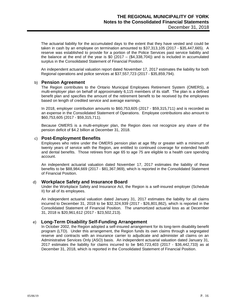The actuarial liability for the accumulated days to the extent that they have vested and could be taken in cash by an employee on termination amounted to \$37,313,105 (2017 - \$35,447,665). A reserve was established to provide for a portion of the Police Services past service liability and the balance at the end of the year is  $$0 (2017 - ($4,338,704))$  and is included in accumulated surplus in the Consolidated Statement of Financial Position.

An independent actuarial valuation report dated November 17, 2017 estimates the liability for both Regional operations and police services at \$37,557,723 (2017 - \$35,859,794).

#### b) **Pension Agreement**

The Region contributes to the Ontario Municipal Employees Retirement System (OMERS), a multi-employer plan on behalf of approximately 6,115 members of its staff. The plan is a defined benefit plan and specifies the amount of the retirement benefit to be received by the employees based on length of credited service and average earnings.

In 2018, employer contribution amounts to \$60,753,605 (2017 - \$59,315,711) and is recorded as an expense in the Consolidated Statement of Operations. Employee contributions also amount to \$60,753,605 (2017 - \$59,315,711).

Because OMERS is a multi-employer plan, the Region does not recognize any share of the pension deficit of \$4.2 billion at December 31, 2018.

#### c) **Post-Employment Benefits**

Employees who retire under the OMERS pension plan at age fifty or greater with a minimum of twenty years of service with the Region, are entitled to continued coverage for extended health and dental benefits. Those retirees from age 65 to age 75 are eligible to a health care spending account.

An independent actuarial valuation dated November 17, 2017 estimates the liability of these benefits to be \$88,984,669 (2017 - \$81,367,969), which is reported in the Consolidated Statement of Financial Position.

#### d) **Workplace Safety and Insurance Board**

Under the Workplace Safety and Insurance Act, the Region is a self-insured employer (Schedule II) for all of its employees.

An independent actuarial valuation dated January 31, 2017 estimates the liability for all claims incurred to December 31, 2018 to be \$32,324,939 (2017 - \$26,801,862), which is reported in the Consolidated Statement of Financial Position. The unamortized actuarial loss as at December 31, 2018 is \$20,961,612 (2017 - \$23,502,213).

#### e) **Long-Term Disability Self-Funding Arrangement**

In October 2002, the Region adopted a self-insured arrangement for its long-term disability benefit program (LTD). Under this arrangement, the Region funds its own claims through a segregated reserve and contracts with an insurance carrier to adjudicate and administer all claims on an Administrative Services Only (ASO) basis. An independent actuarial valuation dated January 31, 2017 estimates the liability for claims incurred to be \$40,723,403 (2017 - \$36,442,733) as at December 31, 2018, which is reported in the Consolidated Statement of Financial Position.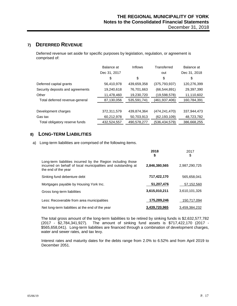# **7) DEFERRED REVENUE**

Deferred revenue set aside for specific purposes by legislation, regulation, or agreement is comprised of:

|                                  | Balance at   | Inflows     | Transferred     | Balance at   |
|----------------------------------|--------------|-------------|-----------------|--------------|
|                                  | Dec 31, 2017 |             | out             | Dec 31, 2018 |
|                                  | \$           | \$          | \$              | \$           |
| Deferred capital grants          | 56,410,978   | 439,659,358 | (375, 793, 937) | 120,276,399  |
| Security deposits and agreements | 19,240,618   | 76,701,663  | (66, 544, 891)  | 29,397,390   |
| Other                            | 11,478,460   | 19,230,720  | (19,598,578)    | 11,110,602   |
| Total deferred revenue-general   | 87,130,056   | 535,591,741 | (461,937,406)   | 160,784,391  |
|                                  |              |             |                 |              |
| Development charges              | 372,311,579  | 439.874.364 | (474, 241, 470) | 337,944,473  |
| Gas tax                          | 60,212,978   | 50,703,913  | (62, 193, 109)  | 48,723,782   |
| Total obligatory reserve funds   | 432,524,557  | 490,578,277 | (536,434,579)   | 386,668,255  |

# **8) LONG-TERM LIABILITIES**

a) Long-term liabilities are comprised of the following items.

|                                                                                                                                                      | 2018<br>\$    | 2017<br>\$    |
|------------------------------------------------------------------------------------------------------------------------------------------------------|---------------|---------------|
| Long-term liabilities incurred by the Region including those<br>incurred on behalf of local municipalities and outstanding at<br>the end of the year | 2,846,380,565 | 2,987,290,725 |
| Sinking fund debenture debt                                                                                                                          | 717,422,170   | 565,658,041   |
| Mortgages payable by Housing York Inc.                                                                                                               | 51,207,476    | 57,152,560    |
| Gross long-term liabilities                                                                                                                          | 3,615,010,211 | 3.610.101.326 |
| Less: Recoverable from area municipalities                                                                                                           | 175.289.246   | 150,717,094   |
| Net long-term liabilities at the end of the year                                                                                                     | 3,439,720,965 | 3,459,384,232 |

The total gross amount of the long-term liabilities to be retired by sinking funds is \$2,632,577,782 (2017 - \$2,784,341,927). The amount of sinking fund assets is \$717,422,170 (2017 - \$565,658,041). Long-term liabilities are financed through a combination of development charges, water and sewer rates, and tax levy.

Interest rates and maturity dates for the debts range from 2.0% to 6.52% and from April 2019 to December 2051.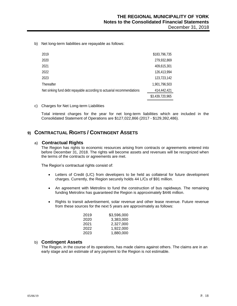b) Net long-term liabilities are repayable as follows:

| 2019                                                                   | \$183,796,735   |
|------------------------------------------------------------------------|-----------------|
| 2020                                                                   | 279,932,869     |
| 2021                                                                   | 409,615,301     |
| 2022                                                                   | 126,413,994     |
| 2023                                                                   | 123,723,142     |
| Thereafter                                                             | 1,901,796,503   |
| Net sinking fund debt repayable according to actuarial recommendations | 414,442,421     |
|                                                                        | \$3,439,720,965 |
|                                                                        |                 |

c) Charges for Net Long-term Liabilities

Total interest charges for the year for net long-term liabilities which are included in the Consolidated Statement of Operations are \$127,022,866 (2017 - \$129,392,486).

# **9) CONTRACTUAL RIGHTS / CONTINGENT ASSETS**

#### a) **Contractual Rights**

The Region has rights to economic resources arising from contracts or agreements entered into before December 31, 2018. The rights will become assets and revenues will be recognized when the terms of the contracts or agreements are met.

The Region's contractual rights consist of:

- Letters of Credit (L/C) from developers to be held as collateral for future development charges. Currently, the Region securely holds 44 L/Cs of \$91 million.
- An agreement with Metrolinx to fund the construction of bus rapidways. The remaining funding Metrolinx has guaranteed the Region is approximately \$446 million.
- Rights to transit advertisement, solar revenue and other lease revenue. Future revenue from these sources for the next 5 years are approximately as follows:

| 2019 | \$3.596.000 |
|------|-------------|
| 2020 | 3.383.000   |
| 2021 | 2,327,000   |
| 2022 | 1.922.000   |
| 2023 | 1,880,000   |

#### b) **Contingent Assets**

The Region, in the course of its operations, has made claims against others. The claims are in an early stage and an estimate of any payment to the Region is not estimable.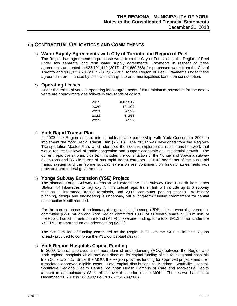## **10) CONTRACTUAL OBLIGATIONS AND COMMITMENTS**

#### a) **Water Supply Agreements with City of Toronto and Region of Peel**

The Region has agreements to purchase water from the City of Toronto and the Region of Peel under two separate long term water supply agreements. Payments in respect of these agreements amounted to \$25,191,412 (2017 - \$24,689,868) for purchased water from the City of Toronto and \$19,023,670 (2017 - \$17,876,707) for the Region of Peel. Payments under these agreements are financed by user rates charged to area municipalities based on consumption.

#### b) **Operating Leases**

Under the terms of various operating lease agreements, future minimum payments for the next 5 years are approximately as follows in thousands of dollars:

| 2019 | \$12.517 |
|------|----------|
| 2020 | 12.102   |
| 2021 | 9.599    |
| 2022 | 8.258    |
| 2023 | 8.299    |

#### c) **York Rapid Transit Plan**

In 2002, the Region entered into a public-private partnership with York Consortium 2002 to implement the York Rapid Transit Plan (YRTP). The YRTP was developed from the Region's Transportation Master Plan, which identified the need to implement a rapid transit network that would reduce the level of traffic congestion and support economic and residential growth. The current rapid transit plan, vivaNext, includes the construction of the Yonge and Spadina subway extensions and 36 kilometres of bus rapid transit corridors. Future segments of the bus rapid transit system and the Yonge subway extension are contingent on funding agreements with provincial and federal governments.

#### d) **Yonge Subway Extension (YSE) Project**

The planned Yonge Subway Extension will extend the TTC subway Line 1, north from Finch Station 7.4 kilometres to Highway 7. This critical rapid transit link will include up to 6 subway stations, 2 intermodal transit terminals, and 2,000 commuter parking spaces. Preliminary planning, design and engineering is underway, but a long-term funding commitment for capital construction is still required.

For the current phase of preliminary design and engineering (PDE), the provincial government committed \$55.0 million and York Region committed 100% of its federal share, \$36.3 million, of the Public Transit Infrastructure Fund (PTIF) phase one funding, for a total \$91.3 million under the YSE PDE memorandum of understanding (MOU).

The \$36.3 million of funding committed by the Region builds on the \$4.1 million the Region already provided to complete the YSE conceptual design.

#### e) **York Region Hospitals Capital Funding**

In 2009, Council approved a memorandum of understanding (MOU) between the Region and York regional hospitals which provides direction for capital funding of the four regional hospitals from 2009 to 2031. Under the MOU, the Region provides funding for approved projects and their associated approved eligible costs. Total capital distributions to Markham Stouffville Hospital, Southlake Regional Health Centre, Vaughan Health Campus of Care and Mackenzie Health amount to approximately \$344 million over the period of the MOU. The reserve balance at December 31, 2018 is \$68,449,984 (2017 - \$54,734,988).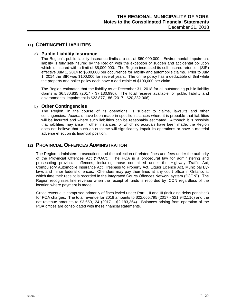### **11) CONTINGENT LIABILITIES**

#### a) **Public Liability Insurance**

The Region's public liability insurance limits are set at \$50,000,000. Environmental impairment liability is fully self-insured by the Region with the exception of sudden and accidental pollution which is insured with a limit of \$5,000,000. The Region increased its self-insured retention (SIR) effective July 1, 2014 to \$500,000 per occurrence for liability and automobile claims. Prior to July 1, 2014 the SIR was \$100,000 for several years. The crime policy has a deductible of \$nil while the property and boiler policy each have a deductible of \$100,000 per claim.

The Region estimates that the liability as at December 31, 2018 for all outstanding public liability claims is \$6,580,835 (2017 - \$7,130,990). The total reserve available for public liability and environmental impairment is \$23,877,186 (2017 - \$20,332,066).

#### b) **Other Contingencies**

The Region, in the course of its operations, is subject to claims, lawsuits and other contingencies. Accruals have been made in specific instances where it is probable that liabilities will be incurred and where such liabilities can be reasonably estimated. Although it is possible that liabilities may arise in other instances for which no accruals have been made, the Region does not believe that such an outcome will significantly impair its operations or have a material adverse effect on its financial position.

## **12) PROVINCIAL OFFENCES ADMINISTRATION**

The Region administers prosecutions and the collection of related fines and fees under the authority of the Provincial Offences Act ("POA"). The POA is a procedural law for administering and prosecuting provincial offences, including those committed under the Highway Traffic Act, Compulsory Automobile Insurance Act, Trespass to Property Act, Liquor Licence Act, Municipal Bylaws and minor federal offences. Offenders may pay their fines at any court office in Ontario, at which time their receipt is recorded in the Integrated Courts Offences Network system ("ICON"). The Region recognizes fine revenue when the receipt of funds is recorded by ICON regardless of the location where payment is made.

Gross revenue is comprised primarily of fines levied under Part I, II and III (including delay penalties) for POA charges. The total revenue for 2018 amounts to \$22,665,795 (2017 - \$21,942,116) and the net revenue amounts to \$3,650,124 (2017 – \$2,183,364). Balances arising from operation of the POA offices are consolidated with these financial statements.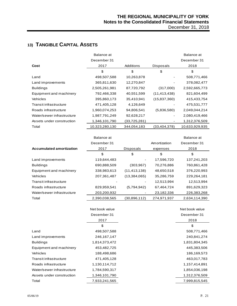# **13) TANGIBLE CAPITAL ASSETS**

|                            | Balance at     |                |                | Balance at     |
|----------------------------|----------------|----------------|----------------|----------------|
|                            | December 31    |                |                | December 31    |
| Cost                       | 2017           | Additions      | Disposals      | 2018           |
|                            | \$             | \$             | \$             | \$             |
| Land                       | 498,507,588    | 10,263,878     |                | 508,771,466    |
| Land improvements          | 365,811,630    | 12,270,847     |                | 378,082,477    |
| <b>Buildings</b>           | 2,505,261,981  | 87,720,792     | (317,000)      | 2,592,665,773  |
| Equipment and machinery    | 792,466,338    | 40,551,599     | (11, 413, 438) | 821,604,499    |
| <b>Vehicles</b>            | 395,860,173    | 35,410,941     | (15,837,360)   | 415,433,754    |
| Transit infrastructure     | 471,405,128    | 4,126,649      |                | 475,531,777    |
| Roads infrastructure       | 1,960,074,253  | 94,806,541     | (5,836,580)    | 2,049,044,214  |
| Water/sewer infrastructure | 1,987,791,249  | 92,628,217     |                | 2,080,419,466  |
| Assets under construction  | 1,346,101,790  | (33, 725, 281) |                | 1,312,376,509  |
| Total                      | 10,323,280,130 | 344,054,183    | (33, 404, 378) | 10,633,929,935 |

|                                 | Balance at    |                |             | Balance at    |
|---------------------------------|---------------|----------------|-------------|---------------|
|                                 | December 31   |                |             | December 31   |
| <b>Accumulated amortization</b> | 2017          | Disposals      | expenses    | 2018          |
|                                 | \$            | \$             | \$          | \$            |
| Land improvements               | 119,644,483   |                | 17,596,720  | 137,241,203   |
| <b>Buildings</b>                | 690,888,509   | (303, 967)     | 70,276,886  | 760,861,428   |
| Equipment and machinery         | 338,983,613   | (11, 413, 138) | 48,650,518  | 376,220,993   |
| Vehicles                        | 207,361,487   | (13,384,065)   | 35,286,759  | 229,264,181   |
| Transit infrastructure          |               |                | 12,513,994  | 12,513,994    |
| Roads infrastructure            | 829,959,541   | (5,794,942)    | 67,464,724  | 891,629,323   |
| Water/sewer infrastructure      | 203,200,932   |                | 23,182,336  | 226,383,268   |
| Total                           | 2.390.038.565 | (30.896.112)   | 274.971.937 | 2.634.114.390 |

|                            | Net book value | Net book value |
|----------------------------|----------------|----------------|
|                            | December 31    | December 31    |
|                            | 2017           | 2018           |
|                            | \$             | \$             |
| Land                       | 498,507,588    | 508,771,466    |
| Land improvements          | 246,167,147    | 240,841,274    |
| <b>Buildings</b>           | 1,814,373,472  | 1,831,804,345  |
| Equipment and machinery    | 453,482,725    | 445,383,506    |
| Vehicles                   | 188,498,686    | 186,169,573    |
| Transit infrastructure     | 471,405,128    | 463,017,783    |
| Roads infrastructure       | 1,130,114,712  | 1,157,414,891  |
| Water/sewer infrastructure | 1,784,590,317  | 1,854,036,198  |
| Assets under construction  | 1,346,101,790  | 1,312,376,509  |
| Total                      | 7,933,241,565  | 7,999,815,545  |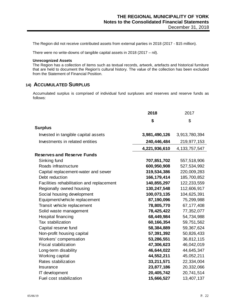The Region did not receive contributed assets from external parties in 2018 (2017 - \$15 million).

There were no write-downs of tangible capital assets in 2018 (2017 – nil).

#### **Unrecognized Assets**

The Region has a collection of items such as textual records, artwork, artefacts and historical furniture that are held to document the Region's cultural history. The value of the collection has been excluded from the Statement of Financial Position.

# **14) ACCUMULATED SURPLUS**

Accumulated surplus is comprised of individual fund surpluses and reserves and reserve funds as follows:

|                                                        | 2018                       | 2017                       |
|--------------------------------------------------------|----------------------------|----------------------------|
|                                                        | \$                         | \$                         |
| <b>Surplus</b>                                         |                            |                            |
| Invested in tangible capital assets                    | 3,981,490,126              | 3,913,780,394              |
| Investments in related entities                        | 240,446,484                | 219,977,153                |
|                                                        | 4,221,936,610              | 4, 133, 757, 547           |
| <b>Reserves and Reserve Funds</b>                      |                            |                            |
| Sinking fund                                           | 707,851,702                | 557,518,906                |
| Roads infrastructure                                   | 600,950,908                | 527,534,992                |
|                                                        |                            |                            |
| Capital replacement-water and sewer<br>Debt reduction  | 319,534,386<br>166,179,414 | 220,009,283<br>185,700,852 |
|                                                        | 140,855,297                | 122,233,559                |
| Facilities rehabilitation and replacement              | 130,247,548                | 112,606,917                |
| Regionally owned housing<br>Social housing development | 100,073,135                | 104,625,391                |
| Equipment/vehicle replacement                          | 87,190,096                 | 75,299,988                 |
| Transit vehicle replacement                            | 78,805,770                 | 67, 177, 408               |
|                                                        |                            |                            |
| Solid waste management                                 | 78,425,422<br>68,449,984   | 77,352,077                 |
| Hospital financing<br>Tax stabilization                |                            | 54,734,988                 |
|                                                        | 60,166,354                 | 59,751,562                 |
| Capital reserve fund                                   | 58,384,889                 | 59,367,624                 |
| Non-profit housing capital                             | 57,391,392                 | 50,826,433                 |
| Workers' compensation<br><b>Fiscal stabilization</b>   | 53,286,551                 | 36,812,115                 |
|                                                        | 47,306,623                 | 46,042,019                 |
| Long-term disability                                   | 46,644,022                 | 44,645,347                 |
| Working capital                                        | 44,552,211                 | 45,052,211                 |
| Rates stabilization                                    | 33,211,571                 | 22,334,004                 |
| Insurance                                              | 23,877,186                 | 20,332,066                 |
| IT development                                         | 20,405,742                 | 20,741,514                 |
| Fuel cost stabilization                                | 15,666,527                 | 13,407,137                 |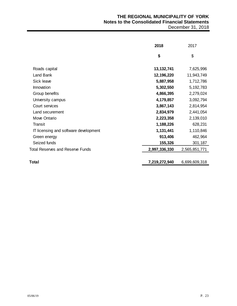|                                       | 2018          | 2017          |
|---------------------------------------|---------------|---------------|
|                                       | \$            | \$            |
| Roads capital                         | 13, 132, 741  | 7,625,996     |
| Land Bank                             | 12,196,220    | 11,943,749    |
| Sick leave                            | 5,887,958     | 1,712,786     |
| Innovation                            | 5,302,550     | 5,192,783     |
| Group benefits                        | 4,866,395     | 2,279,024     |
| University campus                     | 4,179,857     | 3,092,794     |
| Court services                        | 3,867,143     | 2,814,954     |
| Land securement                       | 2,834,979     | 2,441,054     |
| Move Ontario                          | 2,223,358     | 2,139,010     |
| <b>Transit</b>                        | 1,188,226     | 628,231       |
| IT licensing and software development | 1,131,441     | 1,110,846     |
| Green energy                          | 913,406       | 462,964       |
| Seized funds                          | 155,326       | 301,187       |
| Total Reserves and Reserve Funds      | 2,997,336,330 | 2,565,851,771 |
| Total                                 | 7,219,272,940 | 6,699,609,318 |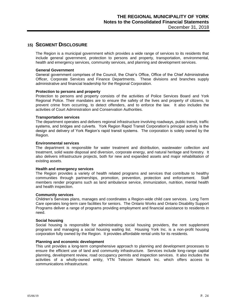### **15) SEGMENT DISCLOSURE**

The Region is a municipal government which provides a wide range of services to its residents that include general government, protection to persons and property, transportation, environmental, health and emergency services, community services, and planning and development services.

#### **General Government**

General government comprises of the Council, the Chair's Office, Office of the Chief Administrative Officer, Corporate Services and Finance Departments. These divisions and branches supply administrative and financial leadership for the Regional Corporation.

#### **Protection to persons and property**

Protection to persons and property consists of the activities of Police Services Board and York Regional Police. Their mandates are to ensure the safety of the lives and property of citizens, to prevent crime from occurring, to detect offenders, and to enforce the law. It also includes the activities of Court Administration and Conservation Authorities.

#### **Transportation services**

The department operates and delivers regional infrastructure involving roadways, public transit, traffic systems, and bridges and culverts. York Region Rapid Transit Corporation's principal activity is the design and delivery of York Region's rapid transit systems. The corporation is solely owned by the Region.

#### **Environmental services**

The department is responsible for water treatment and distribution, wastewater collection and treatment, solid waste disposal and diversion, corporate energy, and natural heritage and forestry. It also delivers infrastructure projects, both for new and expanded assets and major rehabilitation of existing assets.

#### **Health and emergency services**

The Region provides a variety of health related programs and services that contribute to healthy communities through partnerships, promotion, prevention, protection and enforcement. Staff members render programs such as land ambulance service, immunization, nutrition, mental health and health inspection.

#### **Community services**

Children's Services plans, manages and coordinates a Region-wide child care services. Long Term Care operates long-term care facilities for seniors. The Ontario Works and Ontario Disability Support Programs deliver a range of programs providing employment and financial assistance to residents in need.

#### **Social housing**

Social housing is responsible for administrating social housing providers, the rent supplement programs and managing a social housing waiting list. Housing York Inc. is a non-profit housing corporation fully owned by the Region. It provides affordable rental units for its residents.

#### **Planning and economic development**

This unit provides a long-term comprehensive approach to planning and development processes to ensure the efficient use of land and community infrastructure. Services include long-range capital planning, development review, road occupancy permits and inspection services. It also includes the activities of a wholly-owned entity, YTN Telecom Network Inc. which offers access to communications infrastructure.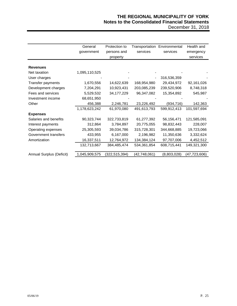|                          | General       | Protection to   | Transportation | Environmental | Health and     |
|--------------------------|---------------|-----------------|----------------|---------------|----------------|
|                          | government    | persons and     | services       | services      | emergency      |
|                          |               | property        |                |               | services       |
|                          |               |                 |                |               |                |
| <b>Revenues</b>          |               |                 |                |               |                |
| Net taxation             | 1,095,110,525 |                 |                |               |                |
| User charges             |               |                 |                | 316,536,359   |                |
| Transfer payments        | 1,670,556     | 14,622,639      | 168,954,980    | 29,434,972    | 92,161,026     |
| Development charges      | 7,204,291     | 10,923,431      | 203,085,239    | 239,520,906   | 8,748,318      |
| Fees and services        | 5,529,532     | 34, 177, 229    | 96,347,082     | 15,354,892    | 545,987        |
| Investment income        | 68,651,950    |                 |                |               |                |
| Other                    | 456,388       | 2,246,781       | 23,226,492     | (934, 716)    | 142,363        |
|                          | 1,178,623,242 | 61,970,080      | 491,613,793    | 599,912,413   | 101,597,694    |
| <b>Expenses</b>          |               |                 |                |               |                |
| Salaries and benefits    | 90,323,744    | 322,733,819     | 61,277,392     | 56,156,471    | 121,585,091    |
| Interest payments        | 312,864       | 3,784,897       | 20,775,055     | 98,832,443    | 228,007        |
| Operating expenses       | 25,305,593    | 39,034,786      | 315,728,301    | 344,668,885   | 19,723,066     |
| Government transfers     | 433,955       | 6,167,000       | 2,196,982      | 11,350,636    | 3,332,624      |
| Amortization             | 16,337,511    | 12,764,972      | 134,384,124    | 97,707,006    | 4,452,512      |
|                          | 132,713,667   | 384,485,474     | 534,361,854    | 608,715,441   | 149,321,300    |
|                          |               |                 |                |               |                |
| Annual Surplus (Deficit) | 1,045,909,575 | (322, 515, 394) | (42,748,061)   | (8,803,028)   | (47, 723, 606) |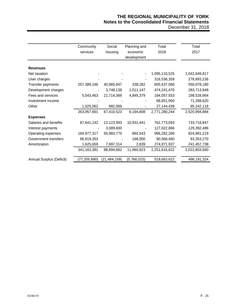# **THE REGIONAL MUNICIPALITY OF YORK Notes to the Consolidated Financial Statements**

| December 31, 2018 |  |  |  |
|-------------------|--|--|--|
|-------------------|--|--|--|

|                          | Community<br>services | Social<br>housing | Planning and<br>economic<br>development | Total<br>2018 | Total<br>2017 |
|--------------------------|-----------------------|-------------------|-----------------------------------------|---------------|---------------|
| <b>Revenues</b>          |                       |                   |                                         |               |               |
| Net taxation             |                       |                   |                                         | 1,095,110,525 | 1,042,649,817 |
| User charges             |                       |                   |                                         | 316,536,359   | 278,893,236   |
| Transfer payments        | 257,389,166           | 40,965,947        | 338,282                                 | 605,537,568   | 550,678,180   |
| Development charges      |                       | 3,748,138         | 1,011,147                               | 474,241,470   | 283,713,949   |
| Fees and services        | 5,543,463             | 21,714,369        | 4,845,379                               | 184,057,933   | 198,528,964   |
| Investment income        |                       |                   |                                         | 68,651,950    | 71,288,620    |
| Other                    | 1,025,062             | 982,069           |                                         | 27,144,439    | 95,242,118    |
|                          | 263,957,691           | 67,410,523        | 6,194,808                               | 2,771,280,244 | 2,520,994,884 |
| <b>Expenses</b>          |                       |                   |                                         |               |               |
| Salaries and benefits    | 87,641,142            | 12,123,993        | 10,931,441                              | 762,773,093   | 733,718,847   |
| Interest payments        |                       | 3,089,600         |                                         | 127,022,866   | 129,392,486   |
| Operating expenses       | 184,977,317           | 65,983,775        | 860,543                                 | 996,282,266   | 824,881,219   |
| Government transfers     | 66,919,263            |                   | 166,000                                 | 90,566,460    | 93,353,270    |
| Amortization             | 1,625,659             | 7,697,314         | 2,839                                   | 274,971,937   | 241,457,738   |
|                          | 341,163,381           | 88,894,682        | 11,960,823                              | 2,251,616,622 | 2,022,803,560 |
| Annual Surplus (Deficit) | (77,205,690)          | (21, 484, 159)    | (5,766,015)                             | 519,663,622   | 498, 191, 324 |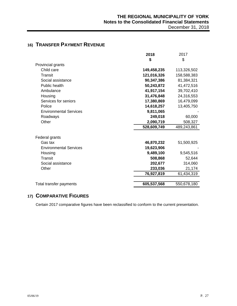|                               | 2018        | 2017        |
|-------------------------------|-------------|-------------|
|                               | \$          | \$          |
| Provincial grants             |             |             |
| Child care                    | 149,458,235 | 113,326,502 |
| Transit                       | 121,016,326 | 158,588,383 |
| Social assistance             | 90,347,386  | 81,384,321  |
| Public health                 | 50,243,872  | 41,472,516  |
| Ambulance                     | 41,917,154  | 39,702,410  |
| Housing                       | 31,476,848  | 24,316,553  |
| Services for seniors          | 17,380,869  | 16,479,099  |
| Police                        | 14,618,257  | 13,405,750  |
| <b>Environmental Services</b> | 9,811,065   |             |
| Roadways                      | 249,018     | 60,000      |
| Other                         | 2,090,719   | 508,327     |
|                               | 528,609,749 | 489,243,861 |
| Federal grants                |             |             |
| Gas tax                       | 46,870,232  | 51,500,925  |
| <b>Environmental Services</b> | 19,623,906  |             |
| Housing                       | 9,489,100   | 9,545,516   |
| Transit                       | 508,868     | 52,644      |
| Social assistance             | 202,677     | 314,060     |
| Other                         | 233,036     | 21,174      |
|                               | 76,927,819  | 61,434,319  |
|                               |             |             |
| Total transfer payments       | 605,537,568 | 550,678,180 |

# **16) TRANSFER PAYMENT REVENUE**

# **17) COMPARATIVE FIGURES**

Certain 2017 comparative figures have been reclassified to conform to the current presentation.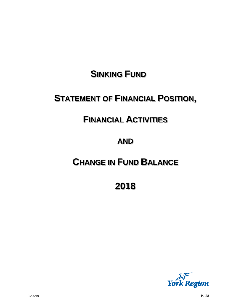# **SINKING FUND**

# **STATEMENT OF FINANCIAL POSITION,**

# **FINANCIAL ACTIVITIES**

# **AND**

# **CHANGE IN FUND BALANCE**

**2018**

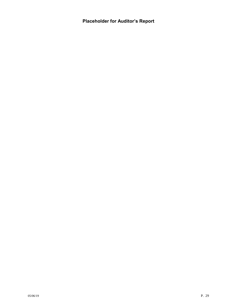**Placeholder for Auditor's Report**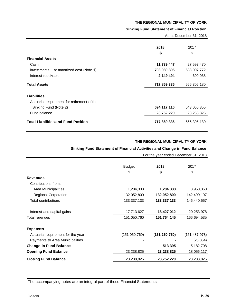#### **Sinking Fund Statement of Financial Position**

|                                             |             | As at December 31, 2018 |  |  |
|---------------------------------------------|-------------|-------------------------|--|--|
|                                             | 2018        | 2017                    |  |  |
|                                             | \$          | \$                      |  |  |
| <b>Financial Assets</b>                     |             |                         |  |  |
| Cash                                        | 11,739,447  | 27,597,470              |  |  |
| Investments – at amortized cost (Note 1)    | 703,980,395 | 538,007,772             |  |  |
| Interest receivable                         | 2,149,494   | 699,938                 |  |  |
| <b>Total Assets</b>                         | 717,869,336 | 566,305,180             |  |  |
| <b>Liabilities</b>                          |             |                         |  |  |
| Actuarial requirement for retirement of the |             |                         |  |  |
| Sinking Fund (Note 2)                       | 694,117,116 | 543,066,355             |  |  |
| Fund balance                                | 23,752,220  | 23,238,825              |  |  |
| <b>Total Liabilities and Fund Position</b>  | 717,869,336 | 566,305,180             |  |  |
|                                             |             |                         |  |  |

#### **THE REGIONAL MUNICIPALITY OF YORK**

#### **Sinking Fund Statement of Financial Activities and Change in Fund Balance**

|                                                                            |                                                                           | 2018                                 | 2017            |
|----------------------------------------------------------------------------|---------------------------------------------------------------------------|--------------------------------------|-----------------|
|                                                                            |                                                                           | \$                                   | \$              |
| <b>Financial Assets</b>                                                    |                                                                           |                                      |                 |
| Cash                                                                       |                                                                           | 11,739,447                           | 27,597,470      |
| Investments - at amortized cost (Note 1)                                   |                                                                           | 703,980,395                          | 538,007,772     |
| Interest receivable                                                        |                                                                           | 2,149,494                            | 699,938         |
| <b>Total Assets</b>                                                        |                                                                           | 717,869,336                          | 566,305,180     |
| <b>Liabilities</b>                                                         |                                                                           |                                      |                 |
| Actuarial requirement for retirement of the                                |                                                                           |                                      |                 |
| Sinking Fund (Note 2)                                                      |                                                                           | 694,117,116                          | 543,066,355     |
| Fund balance                                                               |                                                                           | 23,752,220                           | 23,238,825      |
| <b>Total Liabilities and Fund Position</b>                                 |                                                                           | 717,869,336                          | 566,305,180     |
|                                                                            | Sinking Fund Statement of Financial Activities and Change in Fund Balance | THE REGIONAL MUNICIPALITY OF YORK    |                 |
|                                                                            |                                                                           | For the year ended December 31, 2018 |                 |
|                                                                            |                                                                           |                                      |                 |
|                                                                            | <b>Budget</b>                                                             | 2018                                 | 2017            |
|                                                                            | \$                                                                        | \$                                   | \$              |
| <b>Revenues</b>                                                            |                                                                           |                                      |                 |
| Contributions from:                                                        |                                                                           |                                      |                 |
| Area Municipalities                                                        | 1,284,333                                                                 | 1,284,333                            | 3,950,360       |
| <b>Regional Corporation</b>                                                | 132,052,800                                                               | 132,052,800                          | 142,490,197     |
| <b>Total contributions</b>                                                 | 133, 337, 133                                                             | 133,337,133                          | 146,440,557     |
| Interest and capital gains                                                 | 17,713,627                                                                | 18,427,012                           | 20,253,978      |
| <b>Total revenues</b>                                                      | 151,050,760                                                               | 151,764,145                          | 166,694,535     |
| <b>Expenses</b>                                                            |                                                                           |                                      |                 |
| Actuarial requirement for the year                                         | (151, 050, 760)                                                           | (151, 250, 750)                      | (161, 487, 973) |
| Payments to Area Municipalities                                            |                                                                           |                                      | (23, 854)       |
| <b>Change in Fund Balance</b>                                              |                                                                           | 513,395                              | 5, 182, 708     |
| <b>Opening Fund Balance</b>                                                | 23,238,825                                                                | 23,238,825                           | 18,056,117      |
| <b>Closing Fund Balance</b>                                                | 23,238,825                                                                | 23,752,220                           | 23,238,825      |
|                                                                            |                                                                           |                                      |                 |
| The accompanying notes are an integral part of these Financial Statements. |                                                                           |                                      |                 |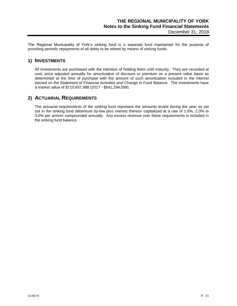The Regional Municipality of York's sinking fund is a separate fund maintained for the purpose of providing periodic repayments of all debts to be retired by means of sinking funds.

### **1) INVESTMENTS**

All investments are purchased with the intention of holding them until maturity. They are recorded at cost, price adjusted annually for amortization of discount or premium on a present value basis as determined at the time of purchase with the amount of such amortization included in the interest earned on the Statement of Financial Activities and Change in Fund Balance. The investments have a market value of \$710,657,988 (2017 - \$541,294,059).

## **2) ACTUARIAL REQUIREMENTS**

The actuarial requirements of the sinking fund represent the amounts levied during the year as set out in the sinking fund debenture by-law plus interest thereon capitalized at a rate of 1.6%, 2.0% or 3.0% per annum compounded annually. Any excess revenue over these requirements is included in the sinking fund balance.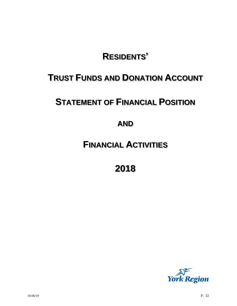# **RESIDENTS'**

# **TRUST FUNDS AND DONATION ACCOUNT**

# **STATEMENT OF FINANCIAL POSITION**

# **AND**

# **FINANCIAL ACTIVITIES**

**2018**

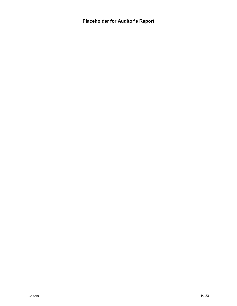**Placeholder for Auditor's Report**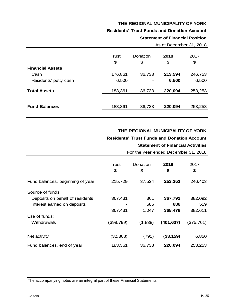#### **Residents' Trust Funds and Donation Account**

# **Statement of Financial Position** As at December 31, 2018

|                         | Trust   | Donation | 2018    | 2017    |
|-------------------------|---------|----------|---------|---------|
|                         | \$      | \$       | \$      | \$      |
| <b>Financial Assets</b> |         |          |         |         |
| Cash                    | 176,861 | 36,733   | 213,594 | 246,753 |
| Residents' petty cash   | 6,500   |          | 6,500   | 6,500   |
|                         |         |          |         |         |
| <b>Total Assets</b>     | 183,361 | 36,733   | 220,094 | 253,253 |
|                         |         |          |         |         |
| <b>Fund Balances</b>    | 183,361 | 36,733   | 220,094 | 253,253 |
|                         |         |          |         |         |

#### **THE REGIONAL MUNICIPALITY OF YORK**

#### **Residents' Trust Funds and Donation Account**

#### **Statement of Financial Activities**

For the year ended December 31, 2018

|                                  | <b>Trust</b><br>\$ | Donation<br>\$ | 2018<br>\$ | 2017<br>\$ |
|----------------------------------|--------------------|----------------|------------|------------|
| Fund balances, beginning of year | 215,729            | 37,524         | 253,253    | 246,403    |
| Source of funds:                 |                    |                |            |            |
| Deposits on behalf of residents  | 367,431            | 361            | 367,792    | 382,092    |
| Interest earned on deposits      |                    | 686            | 686        | 519        |
|                                  | 367,431            | 1,047          | 368,478    | 382,611    |
| Use of funds:                    |                    |                |            |            |
| Withdrawals                      | (399, 799)         | (1,838)        | (401, 637) | (375, 761) |
| Net activity                     | (32, 368)          | (791)          | (33,159)   | 6,850      |
| Fund balances, end of year       | 183,361            | 36,733         | 220,094    | 253,253    |

The accompanying notes are an integral part of these Financial Statements.